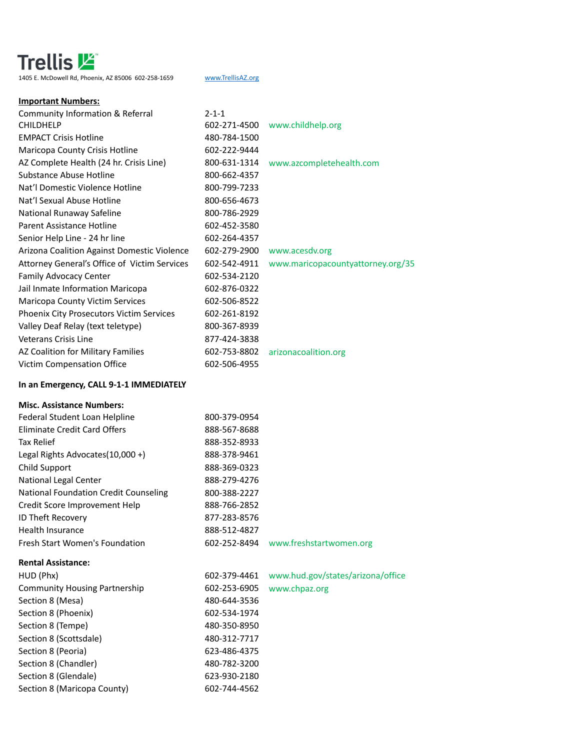**Trellis** 

1405 E. McDowell Rd, Phoenix, AZ 85006 602-258-1659 [www.TrellisAZ.org](http://www.trellisaz.org/)

#### **Important Numbers:**

| Community Information & Referral                | $2 - 1 - 1$  |                                   |
|-------------------------------------------------|--------------|-----------------------------------|
| <b>CHILDHELP</b>                                | 602-271-4500 | www.childhelp.org                 |
| <b>EMPACT Crisis Hotline</b>                    | 480-784-1500 |                                   |
| Maricopa County Crisis Hotline                  | 602-222-9444 |                                   |
| AZ Complete Health (24 hr. Crisis Line)         | 800-631-1314 | www.azcompletehealth.com          |
| Substance Abuse Hotline                         | 800-662-4357 |                                   |
| Nat'l Domestic Violence Hotline                 | 800-799-7233 |                                   |
| Nat'l Sexual Abuse Hotline                      | 800-656-4673 |                                   |
| National Runaway Safeline                       | 800-786-2929 |                                   |
| Parent Assistance Hotline                       | 602-452-3580 |                                   |
| Senior Help Line - 24 hr line                   | 602-264-4357 |                                   |
| Arizona Coalition Against Domestic Violence     | 602-279-2900 | www.acesdv.org                    |
| Attorney General's Office of Victim Services    | 602-542-4911 | www.maricopacountyattorney.org/35 |
| <b>Family Advocacy Center</b>                   | 602-534-2120 |                                   |
| Jail Inmate Information Maricopa                | 602-876-0322 |                                   |
| <b>Maricopa County Victim Services</b>          | 602-506-8522 |                                   |
| <b>Phoenix City Prosecutors Victim Services</b> | 602-261-8192 |                                   |
| Valley Deaf Relay (text teletype)               | 800-367-8939 |                                   |
| Veterans Crisis Line                            | 877-424-3838 |                                   |
| AZ Coalition for Military Families              | 602-753-8802 | arizonacoalition.org              |
| Victim Compensation Office                      | 602-506-4955 |                                   |

### **In an Emergency, CALL 9-1-1 IMMEDIATELY**

#### **Misc. Assistance Numbers:**

| Federal Student Loan Helpline         | 800-379-0954                            |
|---------------------------------------|-----------------------------------------|
| Eliminate Credit Card Offers          | 888-567-8688                            |
| <b>Tax Relief</b>                     | 888-352-8933                            |
| Legal Rights Advocates $(10,000 +)$   | 888-378-9461                            |
| Child Support                         | 888-369-0323                            |
| National Legal Center                 | 888-279-4276                            |
| National Foundation Credit Counseling | 800-388-2227                            |
| Credit Score Improvement Help         | 888-766-2852                            |
| <b>ID Theft Recovery</b>              | 877-283-8576                            |
| Health Insurance                      | 888-512-4827                            |
| Fresh Start Women's Foundation        | 602-252-8494<br>www.freshstartwomen.org |
| <b>Rental Assistance:</b>             |                                         |

# HUD (Phx) 602-379-4461 www.hud.gov/states/arizona/office Community Housing Partnership 602-253-6905 [www.chpaz.org](http://www.chpaz.org/) Section 8 (Mesa) 180-644-3536 Section 8 (Phoenix) 602-534-1974 Section 8 (Tempe) 480-350-8950 Section 8 (Scottsdale) 480-312-7717 Section 8 (Peoria) 623-486-4375 Section 8 (Chandler) 480-782-3200 Section 8 (Glendale) 623-930-2180 Section 8 (Maricopa County) 602-744-4562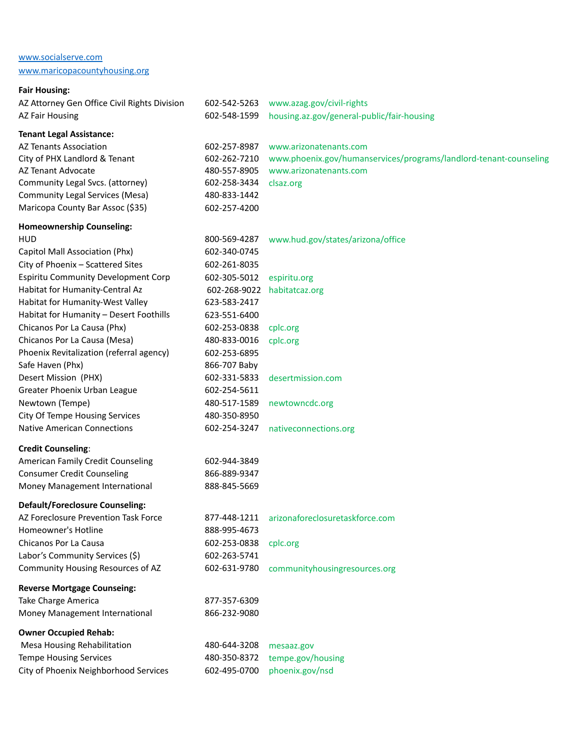# [www.socialserve.com](http://www.socialserve.com/) [www.maricopacountyhousing.org](http://www.maricopacountyhousing.org/)

## **Fair Housing:**

| AZ Attorney Gen Office Civil Rights Division | 602-542-5263 | www.azag.gov/civil-rights                                         |  |
|----------------------------------------------|--------------|-------------------------------------------------------------------|--|
| <b>AZ Fair Housing</b>                       | 602-548-1599 | housing.az.gov/general-public/fair-housing                        |  |
| <b>Tenant Legal Assistance:</b>              |              |                                                                   |  |
| <b>AZ Tenants Association</b>                | 602-257-8987 | www.arizonatenants.com                                            |  |
| City of PHX Landlord & Tenant                | 602-262-7210 | www.phoenix.gov/humanservices/programs/landlord-tenant-counseling |  |
| AZ Tenant Advocate                           | 480-557-8905 | www.arizonatenants.com                                            |  |
| Community Legal Svcs. (attorney)             | 602-258-3434 | clsaz.org                                                         |  |
| <b>Community Legal Services (Mesa)</b>       | 480-833-1442 |                                                                   |  |
| Maricopa County Bar Assoc (\$35)             | 602-257-4200 |                                                                   |  |
| <b>Homeownership Counseling:</b>             |              |                                                                   |  |
| <b>HUD</b>                                   | 800-569-4287 | www.hud.gov/states/arizona/office                                 |  |
| Capitol Mall Association (Phx)               | 602-340-0745 |                                                                   |  |
| City of Phoenix - Scattered Sites            | 602-261-8035 |                                                                   |  |
| Espiritu Community Development Corp          | 602-305-5012 | espiritu.org                                                      |  |
| Habitat for Humanity-Central Az              | 602-268-9022 | habitatcaz.org                                                    |  |
| Habitat for Humanity-West Valley             | 623-583-2417 |                                                                   |  |
| Habitat for Humanity - Desert Foothills      | 623-551-6400 |                                                                   |  |
| Chicanos Por La Causa (Phx)                  | 602-253-0838 | cplc.org                                                          |  |
| Chicanos Por La Causa (Mesa)                 | 480-833-0016 | cplc.org                                                          |  |
| Phoenix Revitalization (referral agency)     | 602-253-6895 |                                                                   |  |
| Safe Haven (Phx)                             | 866-707 Baby |                                                                   |  |
| Desert Mission (PHX)                         | 602-331-5833 | desertmission.com                                                 |  |
| Greater Phoenix Urban League                 | 602-254-5611 |                                                                   |  |
| Newtown (Tempe)                              | 480-517-1589 | newtowncdc.org                                                    |  |
| <b>City Of Tempe Housing Services</b>        | 480-350-8950 |                                                                   |  |
| <b>Native American Connections</b>           | 602-254-3247 | nativeconnections.org                                             |  |
| <b>Credit Counseling:</b>                    |              |                                                                   |  |
| American Family Credit Counseling            | 602-944-3849 |                                                                   |  |
| <b>Consumer Credit Counseling</b>            | 866-889-9347 |                                                                   |  |
| Money Management International               | 888-845-5669 |                                                                   |  |
| <b>Default/Foreclosure Counseling:</b>       |              |                                                                   |  |
| AZ Foreclosure Prevention Task Force         | 877-448-1211 | arizonaforeclosuretaskforce.com                                   |  |
| Homeowner's Hotline                          | 888-995-4673 |                                                                   |  |
| Chicanos Por La Causa                        | 602-253-0838 | cplc.org                                                          |  |
| Labor's Community Services (\$)              | 602-263-5741 |                                                                   |  |
| Community Housing Resources of AZ            | 602-631-9780 | communityhousingresources.org                                     |  |
| <b>Reverse Mortgage Counseing:</b>           |              |                                                                   |  |
| Take Charge America                          | 877-357-6309 |                                                                   |  |
| Money Management International               | 866-232-9080 |                                                                   |  |
| <b>Owner Occupied Rehab:</b>                 |              |                                                                   |  |
| Mesa Housing Rehabilitation                  | 480-644-3208 | mesaaz.gov                                                        |  |
| <b>Tempe Housing Services</b>                | 480-350-8372 | tempe.gov/housing                                                 |  |
| City of Phoenix Neighborhood Services        | 602-495-0700 | phoenix.gov/nsd                                                   |  |
|                                              |              |                                                                   |  |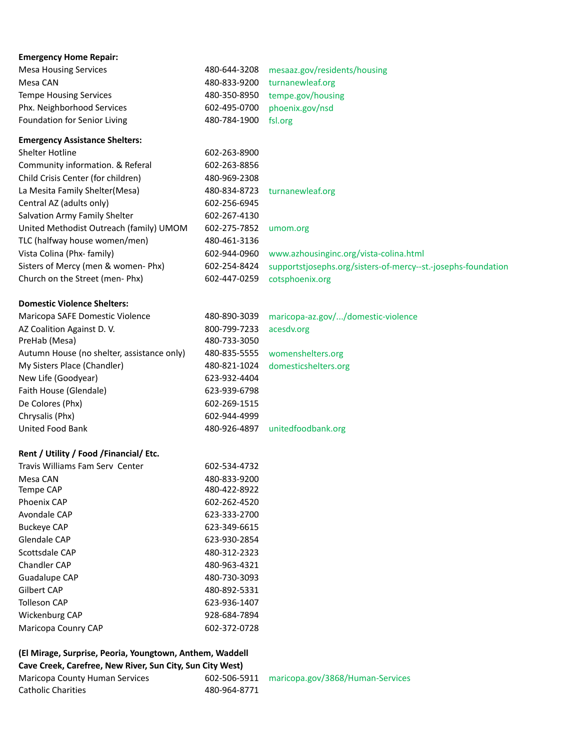| <b>Emergency Home Repair:</b>                             |              |                                                               |
|-----------------------------------------------------------|--------------|---------------------------------------------------------------|
| <b>Mesa Housing Services</b>                              | 480-644-3208 | mesaaz.gov/residents/housing                                  |
| Mesa CAN                                                  | 480-833-9200 | turnanewleaf.org                                              |
| <b>Tempe Housing Services</b>                             | 480-350-8950 | tempe.gov/housing                                             |
| Phx. Neighborhood Services                                | 602-495-0700 | phoenix.gov/nsd                                               |
| Foundation for Senior Living                              | 480-784-1900 | fsl.org                                                       |
| <b>Emergency Assistance Shelters:</b>                     |              |                                                               |
| <b>Shelter Hotline</b>                                    | 602-263-8900 |                                                               |
| Community information. & Referal                          | 602-263-8856 |                                                               |
| Child Crisis Center (for children)                        | 480-969-2308 |                                                               |
| La Mesita Family Shelter(Mesa)                            | 480-834-8723 | turnanewleaf.org                                              |
| Central AZ (adults only)                                  | 602-256-6945 |                                                               |
| Salvation Army Family Shelter                             | 602-267-4130 |                                                               |
| United Methodist Outreach (family) UMOM                   | 602-275-7852 | umom.org                                                      |
| TLC (halfway house women/men)                             | 480-461-3136 |                                                               |
| Vista Colina (Phx- family)                                | 602-944-0960 | www.azhousinginc.org/vista-colina.html                        |
| Sisters of Mercy (men & women- Phx)                       | 602-254-8424 | supportstjosephs.org/sisters-of-mercy--st.-josephs-foundation |
| Church on the Street (men- Phx)                           | 602-447-0259 | cotsphoenix.org                                               |
| <b>Domestic Violence Shelters:</b>                        |              |                                                               |
| Maricopa SAFE Domestic Violence                           | 480-890-3039 | maricopa-az.gov//domestic-violence                            |
| AZ Coalition Against D.V.                                 | 800-799-7233 | acesdv.org                                                    |
| PreHab (Mesa)                                             | 480-733-3050 |                                                               |
| Autumn House (no shelter, assistance only)                | 480-835-5555 | womenshelters.org                                             |
| My Sisters Place (Chandler)                               | 480-821-1024 | domesticshelters.org                                          |
| New Life (Goodyear)                                       | 623-932-4404 |                                                               |
| Faith House (Glendale)                                    | 623-939-6798 |                                                               |
| De Colores (Phx)                                          | 602-269-1515 |                                                               |
| Chrysalis (Phx)                                           | 602-944-4999 |                                                               |
| United Food Bank                                          | 480-926-4897 | unitedfoodbank.org                                            |
| Rent / Utility / Food / Financial/ Etc.                   |              |                                                               |
| Travis Williams Fam Serv Center                           | 602-534-4732 |                                                               |
| Mesa CAN                                                  | 480-833-9200 |                                                               |
| Tempe CAP                                                 | 480-422-8922 |                                                               |
| Phoenix CAP                                               | 602-262-4520 |                                                               |
| Avondale CAP                                              | 623-333-2700 |                                                               |
| <b>Buckeye CAP</b>                                        | 623-349-6615 |                                                               |
| <b>Glendale CAP</b>                                       | 623-930-2854 |                                                               |
| Scottsdale CAP                                            | 480-312-2323 |                                                               |
| Chandler CAP                                              | 480-963-4321 |                                                               |
| Guadalupe CAP                                             | 480-730-3093 |                                                               |
| Gilbert CAP                                               | 480-892-5331 |                                                               |
| <b>Tolleson CAP</b>                                       | 623-936-1407 |                                                               |
| Wickenburg CAP                                            | 928-684-7894 |                                                               |
| Maricopa Counry CAP                                       | 602-372-0728 |                                                               |
| (El Mirage, Surprise, Peoria, Youngtown, Anthem, Waddell  |              |                                                               |
| Cave Creek, Carefree, New River, Sun City, Sun City West) |              |                                                               |
| Maricopa County Human Services                            | 602-506-5911 | maricopa.gov/3868/Human-Services                              |
| <b>Catholic Charities</b>                                 | 480-964-8771 |                                                               |